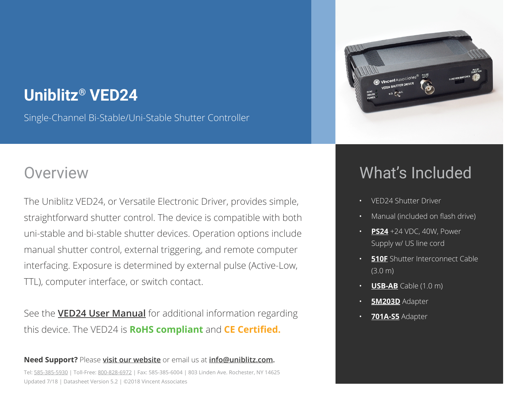## **Uniblitz® VED24**

Single-Channel Bi-Stable/Uni-Stable Shutter Controller

#### **Overview**

The Uniblitz VED24, or Versatile Electronic Driver, provides simple, straightforward shutter control. The device is compatible with both uni-stable and bi-stable shutter devices. Operation options include manual shutter control, external triggering, and remote computer interfacing. Exposure is determined by external pulse (Active-Low, TTL), computer interface, or switch contact.

See the **VED24 User Manual** for additional information regarding this device. The VED24 is **RoHS compliant** and **CE Certified.**

#### **Need Support?** Please **visit our website** or email us at **info@uniblitz.com.** Tel: 585-385-5930 | Toll-Free: 800-828-6972 | Fax: 585-385-6004 | 803 Linden Ave. Rochester, NY 14625 Updated 7/18 | Datasheet Version 5.2 | ©2018 Vincent Associates



## What's Included

- VED24 Shutter Driver
- Manual (included on flash drive)
- **PS24** +24 VDC, 40W, Power Supply w/ US line cord
- **510F** Shutter Interconnect Cable (3.0 m)
- **USB-AB** Cable (1.0 m)
- **5M203D** Adapter
- **701A-S5** Adapter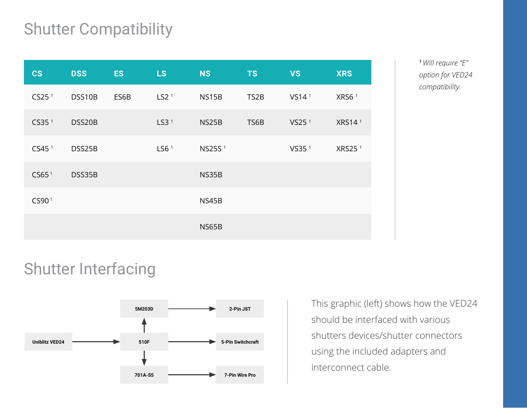# Shutter Compatibility

| <b>CS</b>         | <b>DSS</b> | <b>ES</b> | <b>LS</b>        | <b>NS</b>          | <b>TS</b>         | <b>VS</b>         | <b>XRS</b>         |
|-------------------|------------|-----------|------------------|--------------------|-------------------|-------------------|--------------------|
| CS25 <sup>1</sup> | DSS10B     | ES6B      | LS2 <sup>1</sup> | NS15B              | TS <sub>2</sub> B | VS14 <sup>1</sup> | XRS6 <sup>1</sup>  |
| CS35 <sup>1</sup> | DSS20B     |           | LS3 <sup>1</sup> | NS25B              | TS6B              | VS25 <sup>1</sup> | XRS14 <sup>1</sup> |
| CS45 <sup>1</sup> | DSS25B     |           | LS6 $1$          | NS25S <sup>1</sup> |                   | VS35 <sup>1</sup> | XRS25 <sup>1</sup> |
| CS65 <sup>1</sup> | DSS35B     |           |                  | NS35B              |                   |                   |                    |
| CS90 <sup>1</sup> |            |           |                  | NS45B              |                   |                   |                    |
|                   |            |           |                  | NS65B              |                   |                   |                    |

**<sup>1</sup>***Will require "E" option for VED24 compatibility.* 

### Shutter Interfacing



This graphic (left) shows how the VED24 should be interfaced with various shutters devices/shutter connectors using the included adapters and interconnect cable.